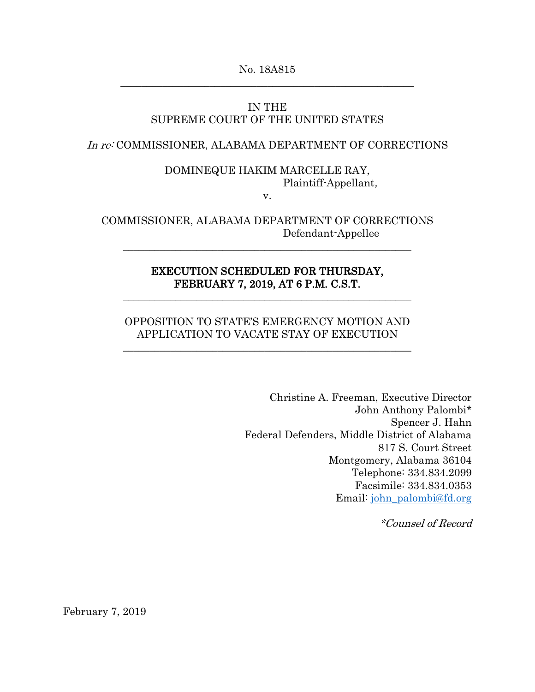No. 18A815 \_\_\_\_\_\_\_\_\_\_\_\_\_\_\_\_\_\_\_\_\_\_\_\_\_\_\_\_\_\_\_\_\_\_\_\_\_\_\_\_\_\_\_\_\_\_\_\_\_\_\_\_\_\_\_\_

# IN THE SUPREME COURT OF THE UNITED STATES

### In re: COMMISSIONER, ALABAMA DEPARTMENT OF CORRECTIONS

### DOMINEQUE HAKIM MARCELLE RAY, Plaintiff-Appellant, v.

COMMISSIONER, ALABAMA DEPARTMENT OF CORRECTIONS Defendant-Appellee

\_\_\_\_\_\_\_\_\_\_\_\_\_\_\_\_\_\_\_\_\_\_\_\_\_\_\_\_\_\_\_\_\_\_\_\_\_\_\_\_\_\_\_\_\_\_\_\_\_\_\_\_\_\_\_

# EXECUTION SCHEDULED FOR THURSDAY, FEBRUARY 7, 2019, AT 6 P.M. C.S.T.

\_\_\_\_\_\_\_\_\_\_\_\_\_\_\_\_\_\_\_\_\_\_\_\_\_\_\_\_\_\_\_\_\_\_\_\_\_\_\_\_\_\_\_\_\_\_\_\_\_\_\_\_\_\_\_

# OPPOSITION TO STATE'S EMERGENCY MOTION AND APPLICATION TO VACATE STAY OF EXECUTION

\_\_\_\_\_\_\_\_\_\_\_\_\_\_\_\_\_\_\_\_\_\_\_\_\_\_\_\_\_\_\_\_\_\_\_\_\_\_\_\_\_\_\_\_\_\_\_\_\_\_\_\_\_\_\_

Christine A. Freeman, Executive Director John Anthony Palombi\* Spencer J. Hahn Federal Defenders, Middle District of Alabama 817 S. Court Street Montgomery, Alabama 36104 Telephone: 334.834.2099 Facsimile: 334.834.0353 Email: john\_palombi@fd.org

\*Counsel of Record

February 7, 2019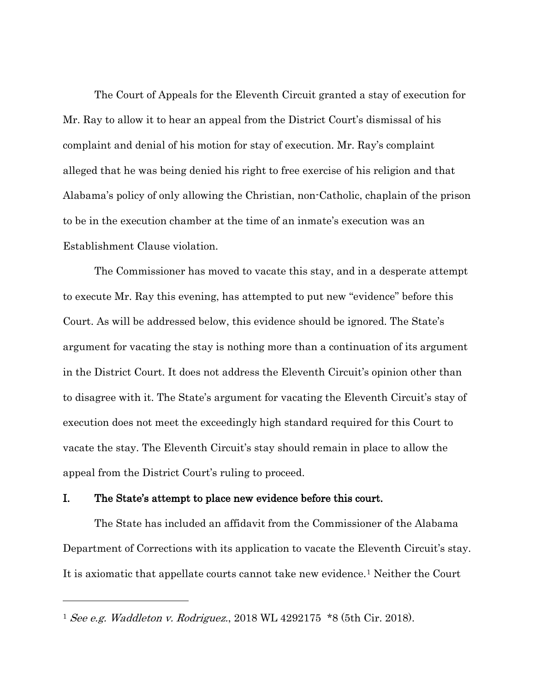The Court of Appeals for the Eleventh Circuit granted a stay of execution for Mr. Ray to allow it to hear an appeal from the District Court's dismissal of his complaint and denial of his motion for stay of execution. Mr. Ray's complaint alleged that he was being denied his right to free exercise of his religion and that Alabama's policy of only allowing the Christian, non-Catholic, chaplain of the prison to be in the execution chamber at the time of an inmate's execution was an Establishment Clause violation.

The Commissioner has moved to vacate this stay, and in a desperate attempt to execute Mr. Ray this evening, has attempted to put new "evidence" before this Court. As will be addressed below, this evidence should be ignored. The State's argument for vacating the stay is nothing more than a continuation of its argument in the District Court. It does not address the Eleventh Circuit's opinion other than to disagree with it. The State's argument for vacating the Eleventh Circuit's stay of execution does not meet the exceedingly high standard required for this Court to vacate the stay. The Eleventh Circuit's stay should remain in place to allow the appeal from the District Court's ruling to proceed.

### I. The State's attempt to place new evidence before this court.

 The State has included an affidavit from the Commissioner of the Alabama Department of Corrections with its application to vacate the Eleventh Circuit's stay. It is axiomatic that appellate courts cannot take new evidence.[1](#page-1-0) Neither the Court

<span id="page-1-0"></span><sup>&</sup>lt;sup>1</sup> See e.g. Waddleton v. Rodriguez., 2018 WL 4292175  $*8$  (5th Cir. 2018).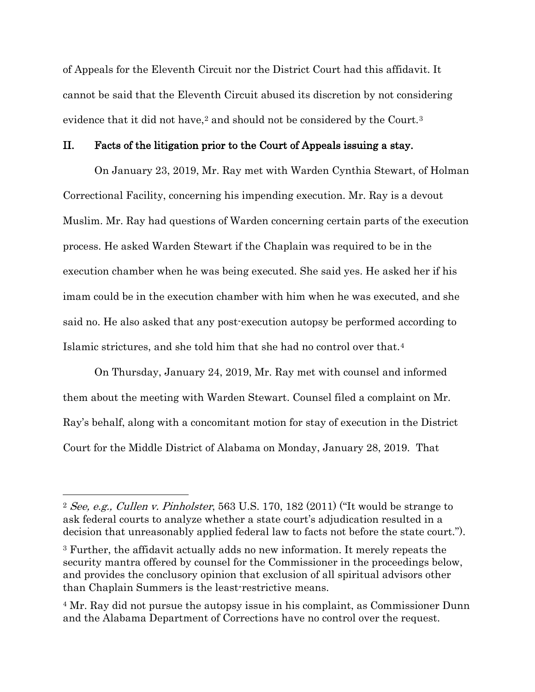of Appeals for the Eleventh Circuit nor the District Court had this affidavit. It cannot be said that the Eleventh Circuit abused its discretion by not considering evidence that it did not have,<sup>[2](#page-2-0)</sup> and should not be considered by the Court.<sup>[3](#page-2-1)</sup>

#### II. Facts of the litigation prior to the Court of Appeals issuing a stay.

On January 23, 2019, Mr. Ray met with Warden Cynthia Stewart, of Holman Correctional Facility, concerning his impending execution. Mr. Ray is a devout Muslim. Mr. Ray had questions of Warden concerning certain parts of the execution process. He asked Warden Stewart if the Chaplain was required to be in the execution chamber when he was being executed. She said yes. He asked her if his imam could be in the execution chamber with him when he was executed, and she said no. He also asked that any post-execution autopsy be performed according to Islamic strictures, and she told him that she had no control over that.[4](#page-2-2)

On Thursday, January 24, 2019, Mr. Ray met with counsel and informed them about the meeting with Warden Stewart. Counsel filed a complaint on Mr. Ray's behalf, along with a concomitant motion for stay of execution in the District Court for the Middle District of Alabama on Monday, January 28, 2019. That

<span id="page-2-0"></span><sup>&</sup>lt;sup>2</sup> See, e.g., Cullen v. Pinholster, 563 U.S. 170, 182 (2011) ("It would be strange to ask federal courts to analyze whether a state court's adjudication resulted in a decision that unreasonably applied federal law to facts not before the state court.").

<span id="page-2-1"></span><sup>3</sup> Further, the affidavit actually adds no new information. It merely repeats the security mantra offered by counsel for the Commissioner in the proceedings below, and provides the conclusory opinion that exclusion of all spiritual advisors other than Chaplain Summers is the least-restrictive means.

<span id="page-2-2"></span><sup>4</sup> Mr. Ray did not pursue the autopsy issue in his complaint, as Commissioner Dunn and the Alabama Department of Corrections have no control over the request.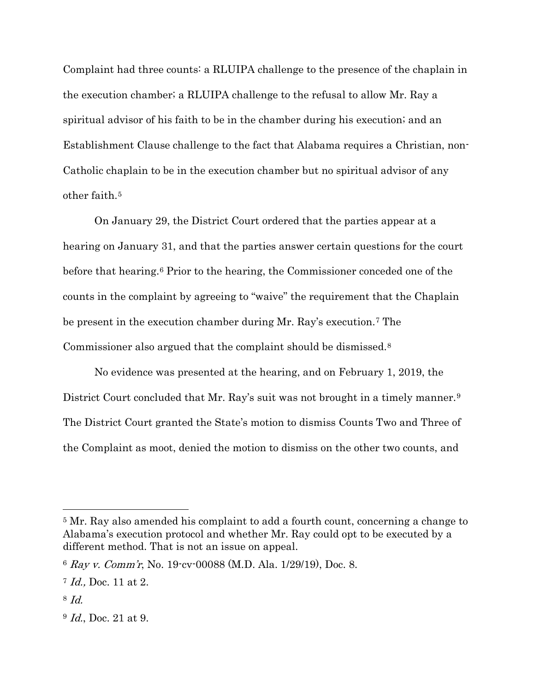Complaint had three counts: a RLUIPA challenge to the presence of the chaplain in the execution chamber; a RLUIPA challenge to the refusal to allow Mr. Ray a spiritual advisor of his faith to be in the chamber during his execution; and an Establishment Clause challenge to the fact that Alabama requires a Christian, non-Catholic chaplain to be in the execution chamber but no spiritual advisor of any other faith.<sup>[5](#page-3-0)</sup>

On January 29, the District Court ordered that the parties appear at a hearing on January 31, and that the parties answer certain questions for the court before that hearing.[6](#page-3-1) Prior to the hearing, the Commissioner conceded one of the counts in the complaint by agreeing to "waive" the requirement that the Chaplain be present in the execution chamber during Mr. Ray's execution.[7](#page-3-2) The Commissioner also argued that the complaint should be dismissed.[8](#page-3-3)

No evidence was presented at the hearing, and on February 1, 2019, the District Court concluded that Mr. Ray's suit was not brought in a timely manner.<sup>[9](#page-3-4)</sup> The District Court granted the State's motion to dismiss Counts Two and Three of the Complaint as moot, denied the motion to dismiss on the other two counts, and

<span id="page-3-3"></span> $8 \overline{Id}$ 

<span id="page-3-0"></span><sup>5</sup> Mr. Ray also amended his complaint to add a fourth count, concerning a change to Alabama's execution protocol and whether Mr. Ray could opt to be executed by a different method. That is not an issue on appeal.

<span id="page-3-1"></span> $6$  Ray v. Comm'r, No. 19-cv-00088 (M.D. Ala. 1/29/19), Doc. 8.

<span id="page-3-2"></span> $7$  *Id.*, Doc. 11 at 2.

<span id="page-3-4"></span><sup>9</sup> Id., Doc. 21 at 9.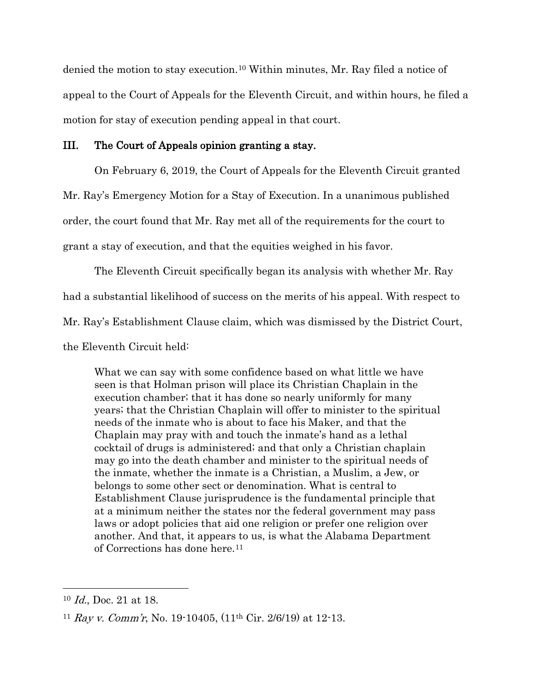denied the motion to stay execution.[10](#page-4-0) Within minutes, Mr. Ray filed a notice of appeal to the Court of Appeals for the Eleventh Circuit, and within hours, he filed a motion for stay of execution pending appeal in that court.

#### III. The Court of Appeals opinion granting a stay.

On February 6, 2019, the Court of Appeals for the Eleventh Circuit granted

Mr. Ray's Emergency Motion for a Stay of Execution. In a unanimous published

order, the court found that Mr. Ray met all of the requirements for the court to

grant a stay of execution, and that the equities weighed in his favor.

The Eleventh Circuit specifically began its analysis with whether Mr. Ray had a substantial likelihood of success on the merits of his appeal. With respect to Mr. Ray's Establishment Clause claim, which was dismissed by the District Court, the Eleventh Circuit held:

What we can say with some confidence based on what little we have seen is that Holman prison will place its Christian Chaplain in the execution chamber; that it has done so nearly uniformly for many years; that the Christian Chaplain will offer to minister to the spiritual needs of the inmate who is about to face his Maker, and that the Chaplain may pray with and touch the inmate's hand as a lethal cocktail of drugs is administered; and that only a Christian chaplain may go into the death chamber and minister to the spiritual needs of the inmate, whether the inmate is a Christian, a Muslim, a Jew, or belongs to some other sect or denomination. What is central to Establishment Clause jurisprudence is the fundamental principle that at a minimum neither the states nor the federal government may pass laws or adopt policies that aid one religion or prefer one religion over another. And that, it appears to us, is what the Alabama Department of Corrections has done here.<sup>[11](#page-4-1)</sup>

<span id="page-4-0"></span><sup>10</sup> Id., Doc. 21 at 18.

<span id="page-4-1"></span><sup>&</sup>lt;sup>11</sup> Ray v. Comm'r, No. 19-10405,  $(11<sup>th</sup> Cir. 2/6/19)$  at 12-13.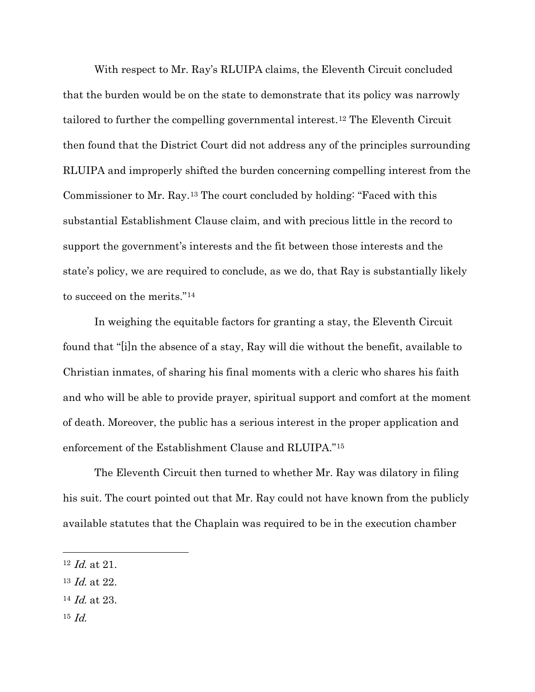With respect to Mr. Ray's RLUIPA claims, the Eleventh Circuit concluded that the burden would be on the state to demonstrate that its policy was narrowly tailored to further the compelling governmental interest.[12](#page-5-0) The Eleventh Circuit then found that the District Court did not address any of the principles surrounding RLUIPA and improperly shifted the burden concerning compelling interest from the Commissioner to Mr. Ray.[13](#page-5-1) The court concluded by holding: "Faced with this substantial Establishment Clause claim, and with precious little in the record to support the government's interests and the fit between those interests and the state's policy, we are required to conclude, as we do, that Ray is substantially likely to succeed on the merits."[14](#page-5-2)

 In weighing the equitable factors for granting a stay, the Eleventh Circuit found that "[i]n the absence of a stay, Ray will die without the benefit, available to Christian inmates, of sharing his final moments with a cleric who shares his faith and who will be able to provide prayer, spiritual support and comfort at the moment of death. Moreover, the public has a serious interest in the proper application and enforcement of the Establishment Clause and RLUIPA."[15](#page-5-3)

The Eleventh Circuit then turned to whether Mr. Ray was dilatory in filing his suit. The court pointed out that Mr. Ray could not have known from the publicly available statutes that the Chaplain was required to be in the execution chamber

- <span id="page-5-1"></span><sup>13</sup> Id. at 22.
- <span id="page-5-2"></span><sup>14</sup> Id. at 23.
- <span id="page-5-3"></span> $15$  *Id.*

<span id="page-5-0"></span><sup>12</sup> Id. at 21.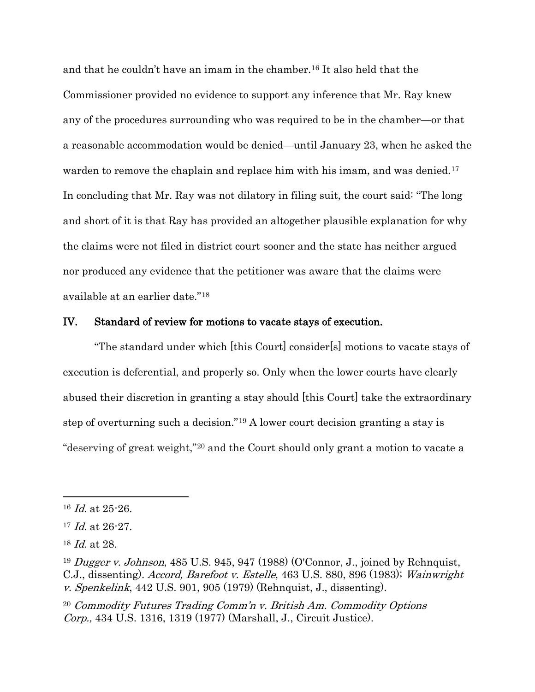and that he couldn't have an imam in the chamber.[16](#page-6-0) It also held that the Commissioner provided no evidence to support any inference that Mr. Ray knew any of the procedures surrounding who was required to be in the chamber—or that a reasonable accommodation would be denied—until January 23, when he asked the warden to remove the chaplain and replace him with his imam, and was denied.<sup>[17](#page-6-1)</sup> In concluding that Mr. Ray was not dilatory in filing suit, the court said: "The long and short of it is that Ray has provided an altogether plausible explanation for why the claims were not filed in district court sooner and the state has neither argued nor produced any evidence that the petitioner was aware that the claims were available at an earlier date."[18](#page-6-2)

#### IV. Standard of review for motions to vacate stays of execution.

 "The standard under which [this Court] consider[s] motions to vacate stays of execution is deferential, and properly so. Only when the lower courts have clearly abused their discretion in granting a stay should [this Court] take the extraordinary step of overturning such a decision."[19](#page-6-3) A lower court decision granting a stay is "deserving of great weight,"[20](#page-6-4) and the Court should only grant a motion to vacate a

<span id="page-6-0"></span><sup>16</sup> Id. at 25-26.

<span id="page-6-1"></span> $17$  *Id.* at 26-27.

<span id="page-6-2"></span><sup>18</sup> Id. at 28.

<span id="page-6-3"></span><sup>&</sup>lt;sup>19</sup> Dugger v. Johnson, 485 U.S. 945, 947 (1988) (O'Connor, J., joined by Rehnquist, C.J., dissenting). Accord, Barefoot v. Estelle, 463 U.S. 880, 896 (1983); Wainwright v. Spenkelink, 442 U.S. 901, 905 (1979) (Rehnquist, J., dissenting).

<span id="page-6-4"></span><sup>20</sup> Commodity Futures Trading Comm'n v. British Am. Commodity Options Corp., 434 U.S. 1316, 1319 (1977) (Marshall, J., Circuit Justice).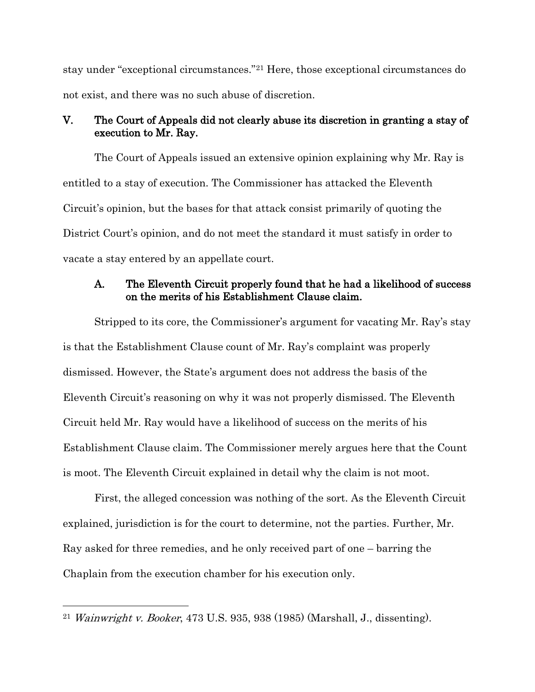stay under "exceptional circumstances."[21](#page-7-0) Here, those exceptional circumstances do not exist, and there was no such abuse of discretion.

### V. The Court of Appeals did not clearly abuse its discretion in granting a stay of execution to Mr. Ray.

 The Court of Appeals issued an extensive opinion explaining why Mr. Ray is entitled to a stay of execution. The Commissioner has attacked the Eleventh Circuit's opinion, but the bases for that attack consist primarily of quoting the District Court's opinion, and do not meet the standard it must satisfy in order to vacate a stay entered by an appellate court.

# A. The Eleventh Circuit properly found that he had a likelihood of success on the merits of his Establishment Clause claim.

 Stripped to its core, the Commissioner's argument for vacating Mr. Ray's stay is that the Establishment Clause count of Mr. Ray's complaint was properly dismissed. However, the State's argument does not address the basis of the Eleventh Circuit's reasoning on why it was not properly dismissed. The Eleventh Circuit held Mr. Ray would have a likelihood of success on the merits of his Establishment Clause claim. The Commissioner merely argues here that the Count is moot. The Eleventh Circuit explained in detail why the claim is not moot.

First, the alleged concession was nothing of the sort. As the Eleventh Circuit explained, jurisdiction is for the court to determine, not the parties. Further, Mr. Ray asked for three remedies, and he only received part of one – barring the Chaplain from the execution chamber for his execution only.

<span id="page-7-0"></span><sup>&</sup>lt;sup>21</sup> Wainwright v. Booker, 473 U.S. 935, 938 (1985) (Marshall, J., dissenting).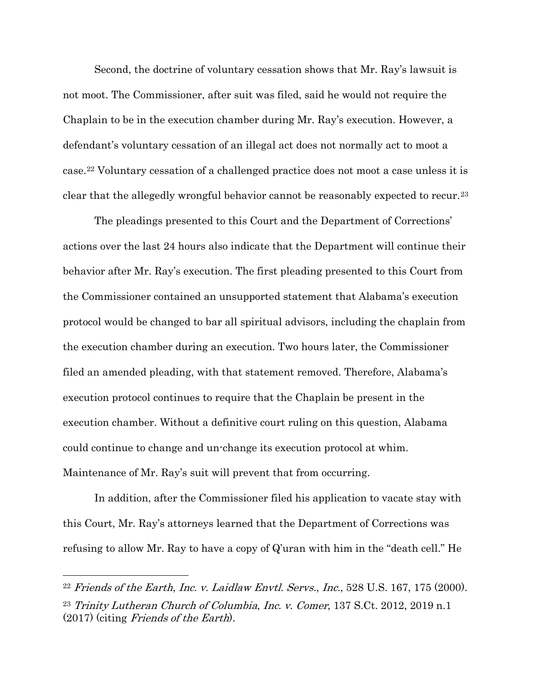Second, the doctrine of voluntary cessation shows that Mr. Ray's lawsuit is not moot. The Commissioner, after suit was filed, said he would not require the Chaplain to be in the execution chamber during Mr. Ray's execution. However, a defendant's voluntary cessation of an illegal act does not normally act to moot a case.[22](#page-8-0) Voluntary cessation of a challenged practice does not moot a case unless it is clear that the allegedly wrongful behavior cannot be reasonably expected to recur.[23](#page-8-1)

The pleadings presented to this Court and the Department of Corrections' actions over the last 24 hours also indicate that the Department will continue their behavior after Mr. Ray's execution. The first pleading presented to this Court from the Commissioner contained an unsupported statement that Alabama's execution protocol would be changed to bar all spiritual advisors, including the chaplain from the execution chamber during an execution. Two hours later, the Commissioner filed an amended pleading, with that statement removed. Therefore, Alabama's execution protocol continues to require that the Chaplain be present in the execution chamber. Without a definitive court ruling on this question, Alabama could continue to change and un-change its execution protocol at whim. Maintenance of Mr. Ray's suit will prevent that from occurring.

In addition, after the Commissioner filed his application to vacate stay with this Court, Mr. Ray's attorneys learned that the Department of Corrections was refusing to allow Mr. Ray to have a copy of Q'uran with him in the "death cell." He

<span id="page-8-1"></span><span id="page-8-0"></span> $22$  Friends of the Earth, Inc. v. Laidlaw Envtl. Servs., Inc., 528 U.S. 167, 175 (2000). <sup>23</sup> Trinity Lutheran Church of Columbia, Inc. v. Comer, 137 S.Ct. 2012, 2019 n.1 (2017) (citing Friends of the Earth).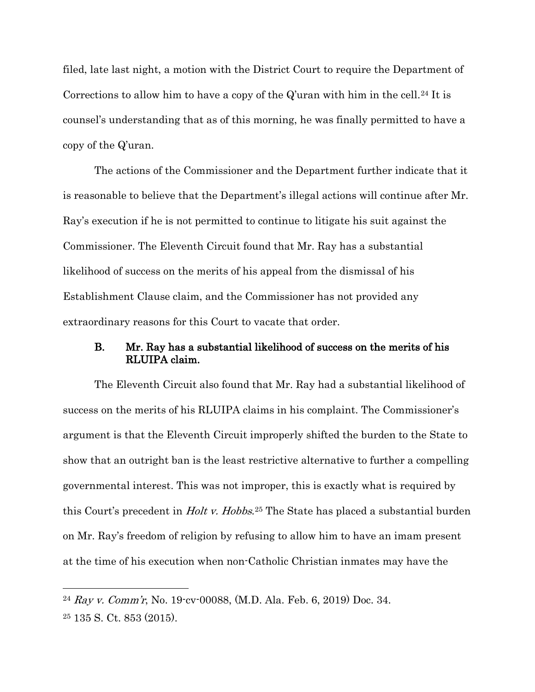filed, late last night, a motion with the District Court to require the Department of Corrections to allow him to have a copy of the  $Q'$ uran with him in the cell.<sup>[24](#page-9-0)</sup> It is counsel's understanding that as of this morning, he was finally permitted to have a copy of the Q'uran.

The actions of the Commissioner and the Department further indicate that it is reasonable to believe that the Department's illegal actions will continue after Mr. Ray's execution if he is not permitted to continue to litigate his suit against the Commissioner. The Eleventh Circuit found that Mr. Ray has a substantial likelihood of success on the merits of his appeal from the dismissal of his Establishment Clause claim, and the Commissioner has not provided any extraordinary reasons for this Court to vacate that order.

## B. Mr. Ray has a substantial likelihood of success on the merits of his RLUIPA claim.

 The Eleventh Circuit also found that Mr. Ray had a substantial likelihood of success on the merits of his RLUIPA claims in his complaint. The Commissioner's argument is that the Eleventh Circuit improperly shifted the burden to the State to show that an outright ban is the least restrictive alternative to further a compelling governmental interest. This was not improper, this is exactly what is required by this Court's precedent in *Holt v. Hobbs*.<sup>[25](#page-9-1)</sup> The State has placed a substantial burden on Mr. Ray's freedom of religion by refusing to allow him to have an imam present at the time of his execution when non-Catholic Christian inmates may have the

<span id="page-9-0"></span> $^{24}$  Ray v. Comm'r, No. 19-cv-00088, (M.D. Ala. Feb. 6, 2019) Doc. 34.

<span id="page-9-1"></span><sup>25</sup> 135 S. Ct. 853 (2015).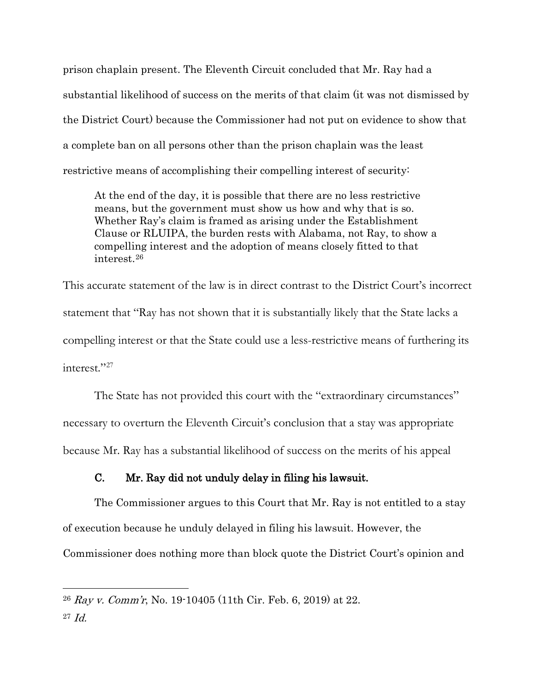prison chaplain present. The Eleventh Circuit concluded that Mr. Ray had a substantial likelihood of success on the merits of that claim (it was not dismissed by the District Court) because the Commissioner had not put on evidence to show that a complete ban on all persons other than the prison chaplain was the least restrictive means of accomplishing their compelling interest of security:

At the end of the day, it is possible that there are no less restrictive means, but the government must show us how and why that is so. Whether Ray's claim is framed as arising under the Establishment Clause or RLUIPA, the burden rests with Alabama, not Ray, to show a compelling interest and the adoption of means closely fitted to that interest.[26](#page-10-0)

This accurate statement of the law is in direct contrast to the District Court's incorrect statement that "Ray has not shown that it is substantially likely that the State lacks a compelling interest or that the State could use a less-restrictive means of furthering its interest."[27](#page-10-1)

The State has not provided this court with the "extraordinary circumstances" necessary to overturn the Eleventh Circuit's conclusion that a stay was appropriate because Mr. Ray has a substantial likelihood of success on the merits of his appeal

# C. Mr. Ray did not unduly delay in filing his lawsuit.

 The Commissioner argues to this Court that Mr. Ray is not entitled to a stay of execution because he unduly delayed in filing his lawsuit. However, the Commissioner does nothing more than block quote the District Court's opinion and

<span id="page-10-0"></span><sup>26</sup> Ray v. Comm'r, No. 19-10405 (11th Cir. Feb. 6, 2019) at 22.

<span id="page-10-1"></span><sup>27</sup>  $Id$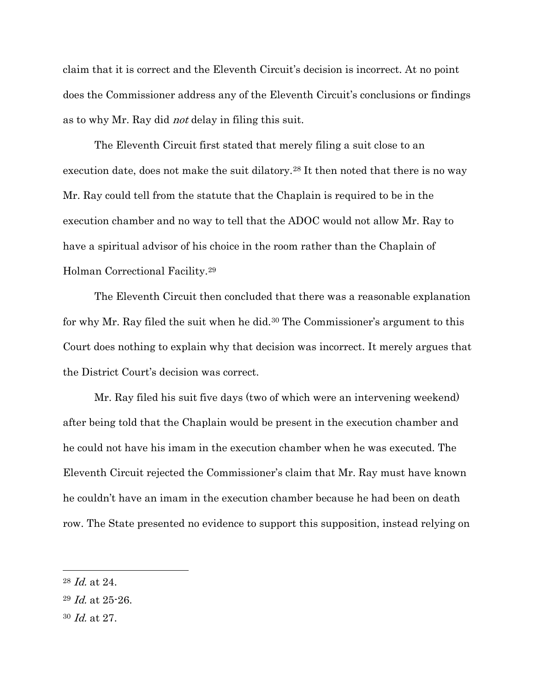claim that it is correct and the Eleventh Circuit's decision is incorrect. At no point does the Commissioner address any of the Eleventh Circuit's conclusions or findings as to why Mr. Ray did not delay in filing this suit.

The Eleventh Circuit first stated that merely filing a suit close to an execution date, does not make the suit dilatory.[28](#page-11-0) It then noted that there is no way Mr. Ray could tell from the statute that the Chaplain is required to be in the execution chamber and no way to tell that the ADOC would not allow Mr. Ray to have a spiritual advisor of his choice in the room rather than the Chaplain of Holman Correctional Facility.[29](#page-11-1)

The Eleventh Circuit then concluded that there was a reasonable explanation for why Mr. Ray filed the suit when he did.[30](#page-11-2) The Commissioner's argument to this Court does nothing to explain why that decision was incorrect. It merely argues that the District Court's decision was correct.

Mr. Ray filed his suit five days (two of which were an intervening weekend) after being told that the Chaplain would be present in the execution chamber and he could not have his imam in the execution chamber when he was executed. The Eleventh Circuit rejected the Commissioner's claim that Mr. Ray must have known he couldn't have an imam in the execution chamber because he had been on death row. The State presented no evidence to support this supposition, instead relying on

 $\overline{a}$ 

<span id="page-11-2"></span><sup>30</sup> Id. at 27.

<span id="page-11-0"></span><sup>28</sup> Id. at 24.

<span id="page-11-1"></span> $29$  *Id.* at  $25 - 26$ .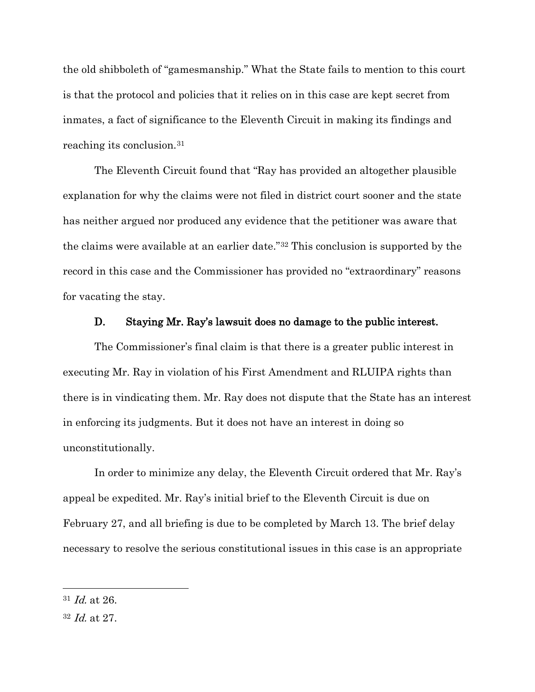the old shibboleth of "gamesmanship." What the State fails to mention to this court is that the protocol and policies that it relies on in this case are kept secret from inmates, a fact of significance to the Eleventh Circuit in making its findings and reaching its conclusion.[31](#page-12-0)

The Eleventh Circuit found that "Ray has provided an altogether plausible explanation for why the claims were not filed in district court sooner and the state has neither argued nor produced any evidence that the petitioner was aware that the claims were available at an earlier date."[32](#page-12-1) This conclusion is supported by the record in this case and the Commissioner has provided no "extraordinary" reasons for vacating the stay.

### D. Staying Mr. Ray's lawsuit does no damage to the public interest.

 The Commissioner's final claim is that there is a greater public interest in executing Mr. Ray in violation of his First Amendment and RLUIPA rights than there is in vindicating them. Mr. Ray does not dispute that the State has an interest in enforcing its judgments. But it does not have an interest in doing so unconstitutionally.

In order to minimize any delay, the Eleventh Circuit ordered that Mr. Ray's appeal be expedited. Mr. Ray's initial brief to the Eleventh Circuit is due on February 27, and all briefing is due to be completed by March 13. The brief delay necessary to resolve the serious constitutional issues in this case is an appropriate

<span id="page-12-0"></span><sup>31</sup> Id. at 26.

<span id="page-12-1"></span><sup>32</sup> Id. at 27.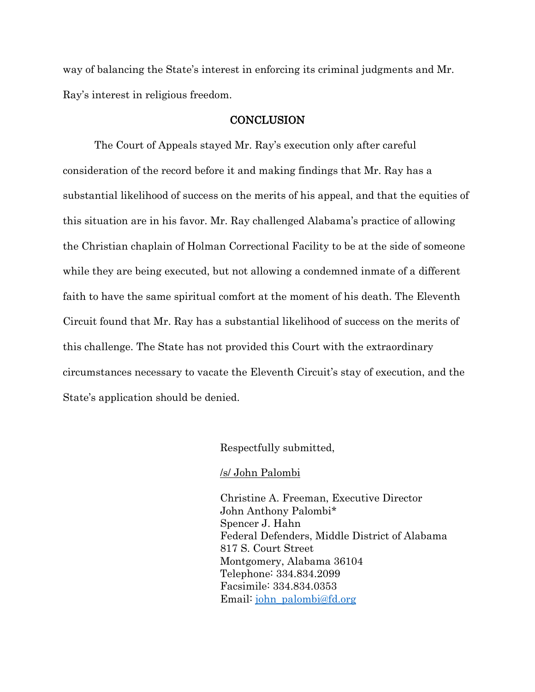way of balancing the State's interest in enforcing its criminal judgments and Mr. Ray's interest in religious freedom.

#### **CONCLUSION**

 The Court of Appeals stayed Mr. Ray's execution only after careful consideration of the record before it and making findings that Mr. Ray has a substantial likelihood of success on the merits of his appeal, and that the equities of this situation are in his favor. Mr. Ray challenged Alabama's practice of allowing the Christian chaplain of Holman Correctional Facility to be at the side of someone while they are being executed, but not allowing a condemned inmate of a different faith to have the same spiritual comfort at the moment of his death. The Eleventh Circuit found that Mr. Ray has a substantial likelihood of success on the merits of this challenge. The State has not provided this Court with the extraordinary circumstances necessary to vacate the Eleventh Circuit's stay of execution, and the State's application should be denied.

Respectfully submitted,

/s/ John Palombi

Christine A. Freeman, Executive Director John Anthony Palombi\* Spencer J. Hahn Federal Defenders, Middle District of Alabama 817 S. Court Street Montgomery, Alabama 36104 Telephone: 334.834.2099 Facsimile: 334.834.0353 Email: john\_palombi@fd.org